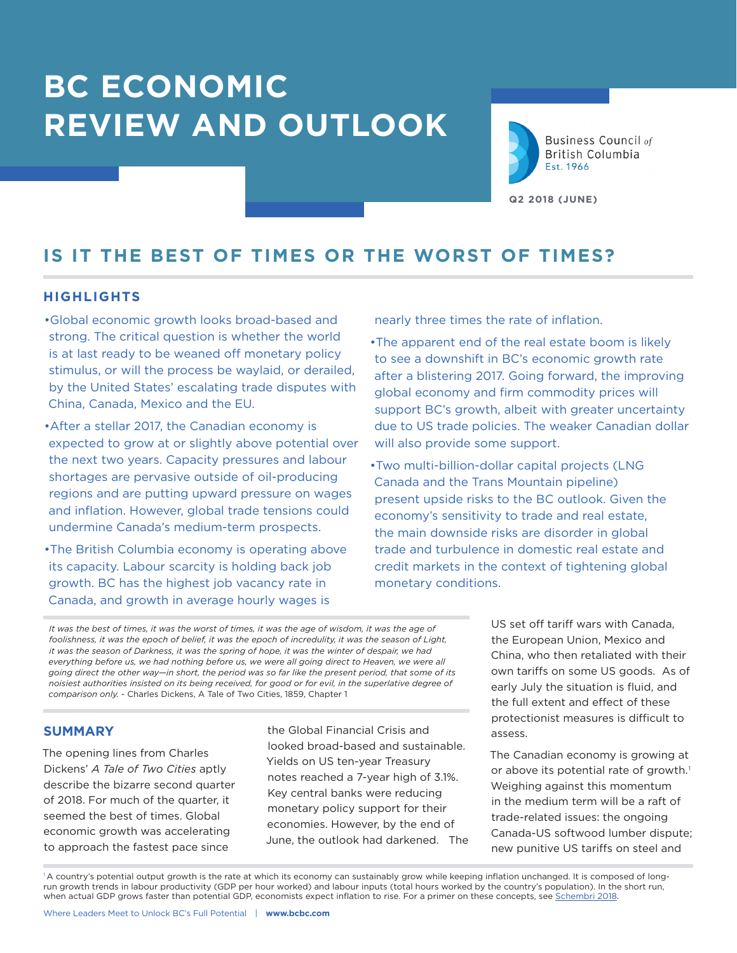# **BC ECONOMIC REVIEW AND OUTLOOK**



**Business Council of British Columbia** Est. 1966

**Q2 2018 (JUNE)**

# **IS IT THE BEST OF TIMES OR THE WORST OF TIMES?**

## **HIGHLIGHTS**

- •Global economic growth looks broad-based and strong. The critical question is whether the world is at last ready to be weaned off monetary policy stimulus, or will the process be waylaid, or derailed, by the United States' escalating trade disputes with China, Canada, Mexico and the EU.
- •After a stellar 2017, the Canadian economy is expected to grow at or slightly above potential over the next two years. Capacity pressures and labour shortages are pervasive outside of oil-producing regions and are putting upward pressure on wages and inflation. However, global trade tensions could undermine Canada's medium-term prospects.
- •The British Columbia economy is operating above its capacity. Labour scarcity is holding back job growth. BC has the highest job vacancy rate in Canada, and growth in average hourly wages is

nearly three times the rate of inflation.

•The apparent end of the real estate boom is likely to see a downshift in BC's economic growth rate after a blistering 2017. Going forward, the improving global economy and firm commodity prices will support BC's growth, albeit with greater uncertainty due to US trade policies. The weaker Canadian dollar will also provide some support.

•Two multi-billion-dollar capital projects (LNG Canada and the Trans Mountain pipeline) present upside risks to the BC outlook. Given the economy's sensitivity to trade and real estate, the main downside risks are disorder in global trade and turbulence in domestic real estate and credit markets in the context of tightening global monetary conditions.

*It was the best of times, it was the worst of times, it was the age of wisdom, it was the age of foolishness, it was the epoch of belief, it was the epoch of incredulity, it was the season of Light, it was the season of Darkness, it was the spring of hope, it was the winter of despair, we had*  everything before us, we had nothing before us, we were all going direct to Heaven, we were all *going direct the other way—in short, the period was so far like the present period, that some of its noisiest authorities insisted on its being received, for good or for evil, in the superlative degree of comparison only.* - Charles Dickens, A Tale of Two Cities, 1859, Chapter 1

## **SUMMARY**

The opening lines from Charles Dickens' *A Tale of Two Cities* aptly describe the bizarre second quarter of 2018. For much of the quarter, it seemed the best of times. Global economic growth was accelerating to approach the fastest pace since

the Global Financial Crisis and looked broad-based and sustainable. Yields on US ten-year Treasury notes reached a 7-year high of 3.1%. Key central banks were reducing monetary policy support for their economies. However, by the end of June, the outlook had darkened. The US set off tariff wars with Canada, the European Union, Mexico and China, who then retaliated with their own tariffs on some US goods. As of early July the situation is fluid, and the full extent and effect of these protectionist measures is difficult to assess.

The Canadian economy is growing at or above its potential rate of growth.<sup>1</sup> Weighing against this momentum in the medium term will be a raft of trade-related issues: the ongoing Canada-US softwood lumber dispute; new punitive US tariffs on steel and

<sup>1</sup>A country's potential output growth is the rate at which its economy can sustainably grow while keeping inflation unchanged. It is composed of longrun growth trends in labour productivity (GDP per hour worked) and labour inputs (total hours worked by the country's population). In the short run, when actual GDP grows faster than potential GDP, economists expect inflation to rise. For a primer on these concepts, see [Schembri 2018.](https://www.bankofcanada.ca/2018/05/mostly-long-short-potential-output/)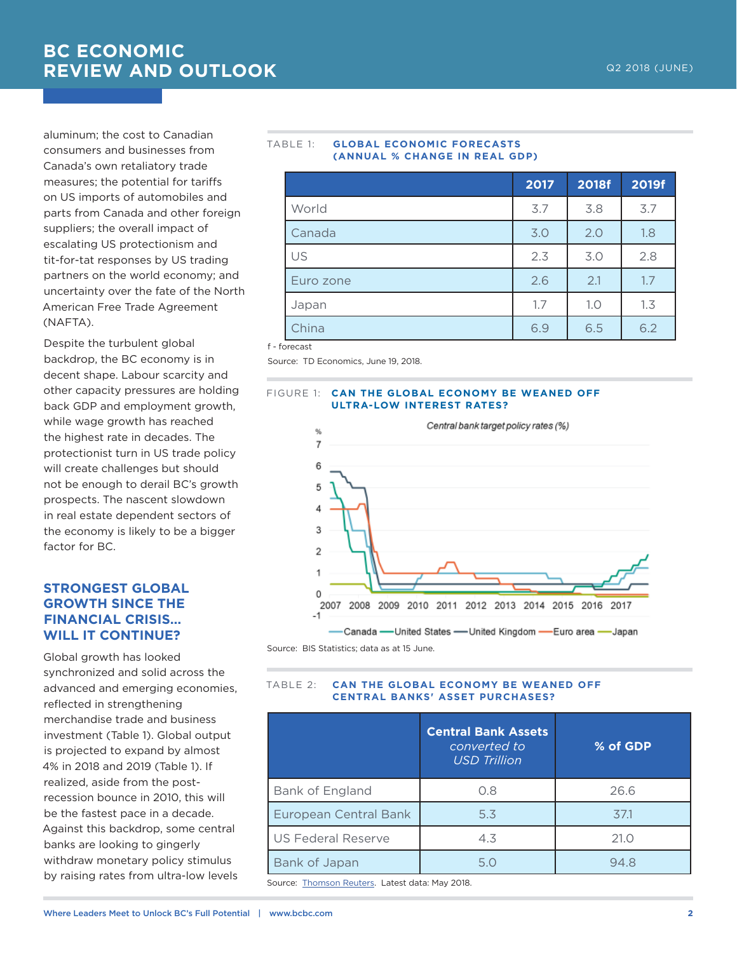aluminum; the cost to Canadian consumers and businesses from Canada's own retaliatory trade measures; the potential for tariffs on US imports of automobiles and parts from Canada and other foreign suppliers; the overall impact of escalating US protectionism and tit-for-tat responses by US trading partners on the world economy; and uncertainty over the fate of the North American Free Trade Agreement (NAFTA).

Despite the turbulent global backdrop, the BC economy is in decent shape. Labour scarcity and other capacity pressures are holding back GDP and employment growth, while wage growth has reached the highest rate in decades. The protectionist turn in US trade policy will create challenges but should not be enough to derail BC's growth prospects. The nascent slowdown in real estate dependent sectors of the economy is likely to be a bigger factor for BC.

## **STRONGEST GLOBAL GROWTH SINCE THE FINANCIAL CRISIS… WILL IT CONTINUE?**

Global growth has looked synchronized and solid across the advanced and emerging economies, reflected in strengthening merchandise trade and business investment (Table 1). Global output is projected to expand by almost 4% in 2018 and 2019 (Table 1). If realized, aside from the postrecession bounce in 2010, this will be the fastest pace in a decade. Against this backdrop, some central banks are looking to gingerly withdraw monetary policy stimulus by raising rates from ultra-low levels

#### TABLE 1: **GLOBAL ECONOMIC FORECASTS (ANNUAL % CHANGE IN REAL GDP)**

|           | 2017 | 2018f | 2019f |
|-----------|------|-------|-------|
| World     | 3.7  | 3.8   | 3.7   |
| Canada    | 3.0  | 2.0   | 1.8   |
| US        | 2.3  | 3.0   | 2.8   |
| Euro zone | 2.6  | 2.1   | 1.7   |
| Japan     | 1.7  | 1.0   | 1.3   |
| China     | 6.9  | 6.5   | 6.2   |

f - forecast

Source: TD Economics, June 19, 2018.

#### FIGURE 1: **CAN THE GLOBAL ECONOMY BE WEANED OFF ULTRA-LOW INTEREST RATES?**



Source: BIS Statistics; data as at 15 June.

## TABLE 2: **CAN THE GLOBAL ECONOMY BE WEANED OFF CENTRAL BANKS' ASSET PURCHASES?**

|                              | <b>Central Bank Assets</b><br>converted to<br><b>USD Trillion</b> | % of GDP |
|------------------------------|-------------------------------------------------------------------|----------|
| Bank of England              | 0.8                                                               | 26.6     |
| <b>European Central Bank</b> | 5.3                                                               | 37.1     |
| <b>US Federal Reserve</b>    | 4.3                                                               | 21.0     |
| Bank of Japan                | 5.0                                                               | 94.8     |

Source: [Thomson Reuters](http://fingfx.thomsonreuters.com/gfx/rngs/GLOBAL-CENTRALBANKS/010041ZQ4B7/index.html). Latest data: May 2018.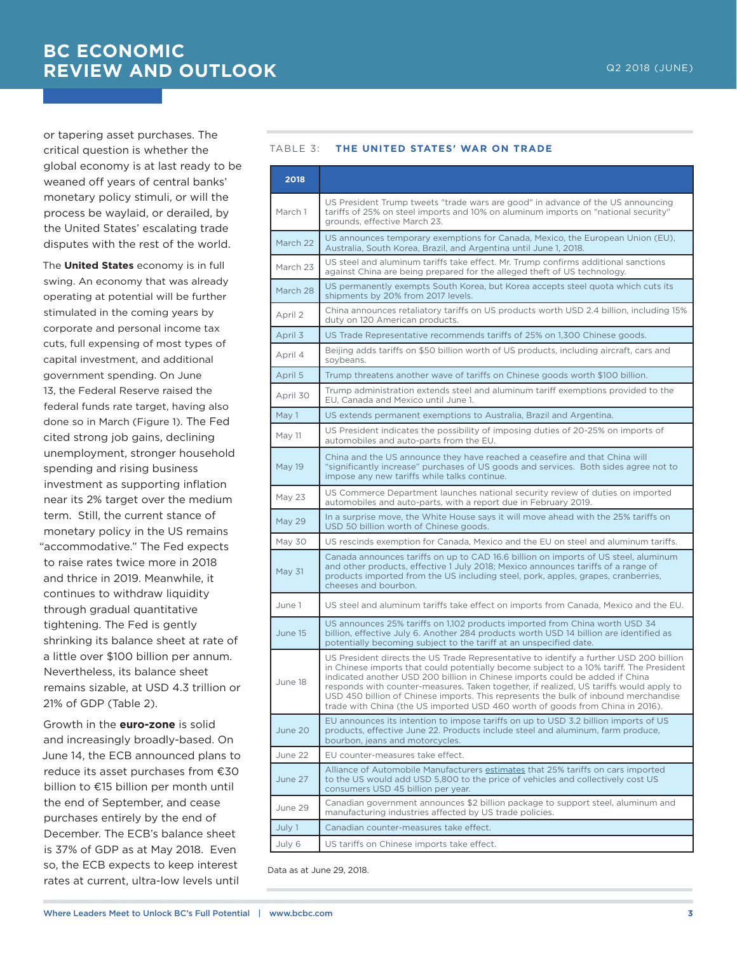or tapering asset purchases. The critical question is whether the global economy is at last ready to be weaned off years of central banks' monetary policy stimuli, or will the process be waylaid, or derailed, by the United States' escalating trade disputes with the rest of the world.

The **United States** economy is in full swing. An economy that was already operating at potential will be further stimulated in the coming years by corporate and personal income tax cuts, full expensing of most types of capital investment, and additional government spending. On June 13, the Federal Reserve raised the federal funds rate target, having also done so in March (Figure 1). The Fed cited strong job gains, declining unemployment, stronger household spending and rising business investment as supporting inflation near its 2% target over the medium term. Still, the current stance of monetary policy in the US remains "accommodative." The Fed expects to raise rates twice more in 2018 and thrice in 2019. Meanwhile, it continues to withdraw liquidity through gradual quantitative tightening. The Fed is gently shrinking its balance sheet at rate of a little over \$100 billion per annum. Nevertheless, its balance sheet remains sizable, at USD 4.3 trillion or 21% of GDP (Table 2).

Growth in the **euro-zone** is solid and increasingly broadly-based. On June 14, the ECB announced plans to reduce its asset purchases from €30 billion to €15 billion per month until the end of September, and cease purchases entirely by the end of December. The ECB's balance sheet is 37% of GDP as at May 2018. Even so, the ECB expects to keep interest rates at current, ultra-low levels until

#### TABLE 3: **THE UNITED STATES' WAR ON TRADE**

| 2018     |                                                                                                                                                                                                                                                                                                                                                                                                                                                                                                                                     |  |  |
|----------|-------------------------------------------------------------------------------------------------------------------------------------------------------------------------------------------------------------------------------------------------------------------------------------------------------------------------------------------------------------------------------------------------------------------------------------------------------------------------------------------------------------------------------------|--|--|
| March 1  | US President Trump tweets "trade wars are good" in advance of the US announcing<br>tariffs of 25% on steel imports and 10% on aluminum imports on "national security"<br>grounds, effective March 23.                                                                                                                                                                                                                                                                                                                               |  |  |
| March 22 | US announces temporary exemptions for Canada, Mexico, the European Union (EU),<br>Australia, South Korea, Brazil, and Argentina until June 1, 2018.                                                                                                                                                                                                                                                                                                                                                                                 |  |  |
| March 23 | US steel and aluminum tariffs take effect. Mr. Trump confirms additional sanctions<br>against China are being prepared for the alleged theft of US technology.                                                                                                                                                                                                                                                                                                                                                                      |  |  |
| March 28 | US permanently exempts South Korea, but Korea accepts steel quota which cuts its<br>shipments by 20% from 2017 levels.                                                                                                                                                                                                                                                                                                                                                                                                              |  |  |
| April 2  | China announces retaliatory tariffs on US products worth USD 2.4 billion, including 15%<br>duty on 120 American products.                                                                                                                                                                                                                                                                                                                                                                                                           |  |  |
| April 3  | US Trade Representative recommends tariffs of 25% on 1,300 Chinese goods.                                                                                                                                                                                                                                                                                                                                                                                                                                                           |  |  |
| April 4  | Beijing adds tariffs on \$50 billion worth of US products, including aircraft, cars and<br>soybeans.                                                                                                                                                                                                                                                                                                                                                                                                                                |  |  |
| April 5  | Trump threatens another wave of tariffs on Chinese goods worth \$100 billion.                                                                                                                                                                                                                                                                                                                                                                                                                                                       |  |  |
| April 30 | Trump administration extends steel and aluminum tariff exemptions provided to the<br>EU. Canada and Mexico until June 1.                                                                                                                                                                                                                                                                                                                                                                                                            |  |  |
| May 1    | US extends permanent exemptions to Australia, Brazil and Argentina.                                                                                                                                                                                                                                                                                                                                                                                                                                                                 |  |  |
| May 11   | US President indicates the possibility of imposing duties of 20-25% on imports of<br>automobiles and auto-parts from the EU.                                                                                                                                                                                                                                                                                                                                                                                                        |  |  |
| May 19   | China and the US announce they have reached a ceasefire and that China will<br>"significantly increase" purchases of US goods and services. Both sides agree not to<br>impose any new tariffs while talks continue.                                                                                                                                                                                                                                                                                                                 |  |  |
| May 23   | US Commerce Department launches national security review of duties on imported<br>automobiles and auto-parts, with a report due in February 2019.                                                                                                                                                                                                                                                                                                                                                                                   |  |  |
| May 29   | In a surprise move, the White House says it will move ahead with the 25% tariffs on<br>USD 50 billion worth of Chinese goods.                                                                                                                                                                                                                                                                                                                                                                                                       |  |  |
| May 30   | US rescinds exemption for Canada, Mexico and the EU on steel and aluminum tariffs.                                                                                                                                                                                                                                                                                                                                                                                                                                                  |  |  |
| May 31   | Canada announces tariffs on up to CAD 16.6 billion on imports of US steel, aluminum<br>and other products, effective 1 July 2018; Mexico announces tariffs of a range of<br>products imported from the US including steel, pork, apples, grapes, cranberries,<br>cheeses and bourbon.                                                                                                                                                                                                                                               |  |  |
| June 1   | US steel and aluminum tariffs take effect on imports from Canada, Mexico and the EU.                                                                                                                                                                                                                                                                                                                                                                                                                                                |  |  |
| June 15  | US announces 25% tariffs on 1,102 products imported from China worth USD 34<br>billion, effective July 6. Another 284 products worth USD 14 billion are identified as<br>potentially becoming subject to the tariff at an unspecified date.                                                                                                                                                                                                                                                                                         |  |  |
| June 18  | US President directs the US Trade Representative to identify a further USD 200 billion<br>in Chinese imports that could potentially become subject to a 10% tariff. The President<br>indicated another USD 200 billion in Chinese imports could be added if China<br>responds with counter-measures. Taken together, if realized, US tariffs would apply to<br>USD 450 billion of Chinese imports. This represents the bulk of inbound merchandise<br>trade with China (the US imported USD 460 worth of goods from China in 2016). |  |  |
| June 20  | EU announces its intention to impose tariffs on up to USD 3.2 billion imports of US<br>products, effective June 22. Products include steel and aluminum, farm produce,<br>bourbon, jeans and motorcycles.                                                                                                                                                                                                                                                                                                                           |  |  |
| June 22  | EU counter-measures take effect.                                                                                                                                                                                                                                                                                                                                                                                                                                                                                                    |  |  |
| June 27  | Alliance of Automobile Manufacturers estimates that 25% tariffs on cars imported<br>to the US would add USD 5,800 to the price of vehicles and collectively cost US<br>consumers USD 45 billion per year.                                                                                                                                                                                                                                                                                                                           |  |  |
| June 29  | Canadian government announces \$2 billion package to support steel, aluminum and<br>manufacturing industries affected by US trade policies.                                                                                                                                                                                                                                                                                                                                                                                         |  |  |
| July 1   | Canadian counter-measures take effect.                                                                                                                                                                                                                                                                                                                                                                                                                                                                                              |  |  |
| July 6   | US tariffs on Chinese imports take effect.                                                                                                                                                                                                                                                                                                                                                                                                                                                                                          |  |  |

Data as at June 29, 2018.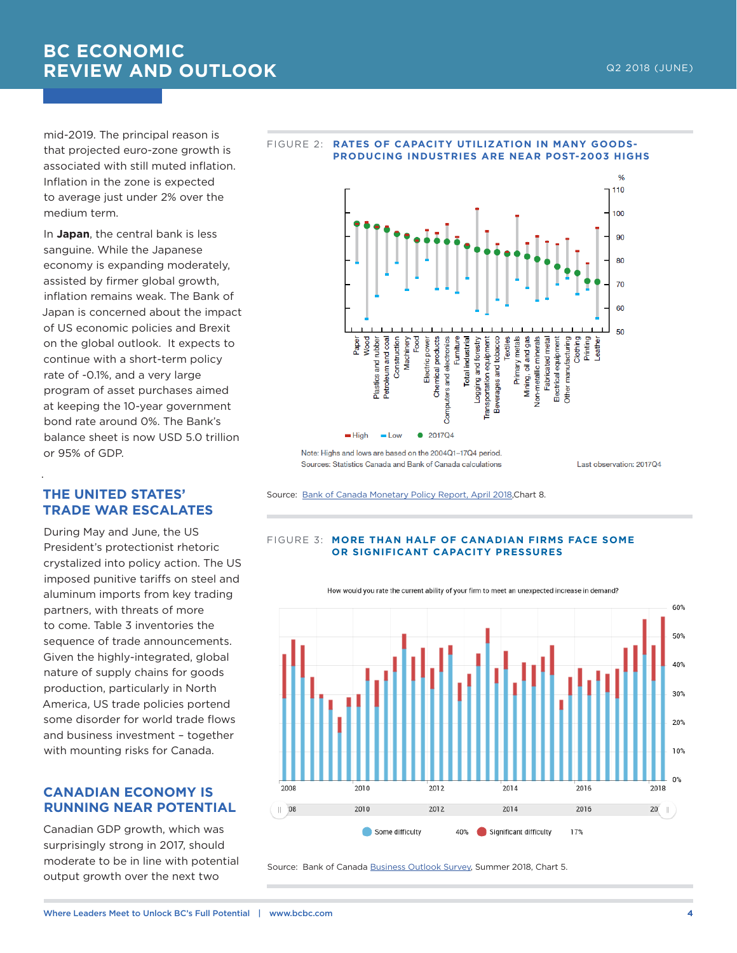# **BC ECONOMIC REVIEW AND OUTLOOK**

mid-2019. The principal reason is that projected euro-zone growth is associated with still muted inflation. Inflation in the zone is expected to average just under 2% over the medium term.

In **Japan**, the central bank is less sanguine. While the Japanese economy is expanding moderately, assisted by firmer global growth, inflation remains weak. The Bank of Japan is concerned about the impact of US economic policies and Brexit on the global outlook. It expects to continue with a short-term policy rate of -0.1%, and a very large program of asset purchases aimed at keeping the 10-year government bond rate around 0%. The Bank's balance sheet is now USD 5.0 trillion or 95% of GDP.

## **THE UNITED STATES' TRADE WAR ESCALATES**

.

During May and June, the US President's protectionist rhetoric crystalized into policy action. The US imposed punitive tariffs on steel and aluminum imports from key trading partners, with threats of more to come. Table 3 inventories the sequence of trade announcements. Given the highly-integrated, global nature of supply chains for goods production, particularly in North America, US trade policies portend some disorder for world trade flows and business investment – together with mounting risks for Canada.

## **CANADIAN ECONOMY IS RUNNING NEAR POTENTIAL**

Canadian GDP growth, which was surprisingly strong in 2017, should moderate to be in line with potential output growth over the next two



FIGURE 2: **RATES OF CAPACITY UTILIZATION IN MANY GOODS-**

Note: Highs and lows are based on the 2004Q1-17Q4 period. Sources: Statistics Canada and Bank of Canada calculations

Last observation: 2017Q4

Source: [Bank of Canada Monetary Policy Report, April 2018](https://www.bankofcanada.ca/2018/04/mpr-2018-04-18/),Chart 8.

#### FIGURE 3: **MORE THAN HALF OF CANADIAN FIRMS FACE SOME OR SIGNIFICANT CAPACITY PRESSURES**



How would you rate the current ability of your firm to meet an unexpected increase in demand?

Source: Bank of Canada [Business Outlook Survey](https://www.bankofcanada.ca/2018/06/business-outlook-survey-summer-2018/), Summer 2018, Chart 5.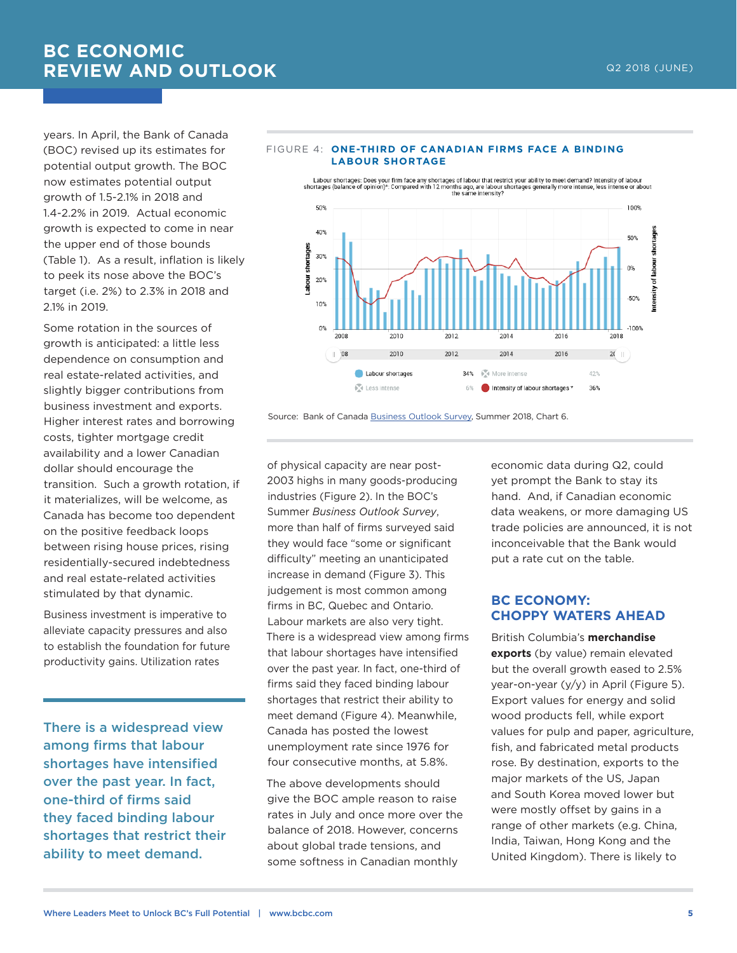# **BC ECONOMIC REVIEW AND OUTLOOK**

years. In April, the Bank of Canada (BOC) revised up its estimates for potential output growth. The BOC now estimates potential output growth of 1.5-2.1% in 2018 and 1.4-2.2% in 2019. Actual economic growth is expected to come in near the upper end of those bounds (Table 1). As a result, inflation is likely to peek its nose above the BOC's target (i.e. 2%) to 2.3% in 2018 and 2.1% in 2019.

Some rotation in the sources of growth is anticipated: a little less dependence on consumption and real estate-related activities, and slightly bigger contributions from business investment and exports. Higher interest rates and borrowing costs, tighter mortgage credit availability and a lower Canadian dollar should encourage the transition. Such a growth rotation, if it materializes, will be welcome, as Canada has become too dependent on the positive feedback loops between rising house prices, rising residentially-secured indebtedness and real estate-related activities stimulated by that dynamic.

Business investment is imperative to alleviate capacity pressures and also to establish the foundation for future productivity gains. Utilization rates

There is a widespread view among firms that labour shortages have intensified over the past year. In fact, one-third of firms said they faced binding labour shortages that restrict their ability to meet demand.



#### FIGURE 4: **ONE-THIRD OF CANADIAN FIRMS FACE A BINDING LABOUR SHORTAGE**

Source: Bank of Canada [Business Outlook Survey,](https://www.bankofcanada.ca/2018/06/business-outlook-survey-summer-2018/) Summer 2018, Chart 6.

of physical capacity are near post-2003 highs in many goods-producing industries (Figure 2). In the BOC's Summer *Business Outlook Survey*, more than half of firms surveyed said they would face "some or significant difficulty" meeting an unanticipated increase in demand (Figure 3). This judgement is most common among firms in BC, Quebec and Ontario. Labour markets are also very tight. There is a widespread view among firms that labour shortages have intensified over the past year. In fact, one-third of firms said they faced binding labour shortages that restrict their ability to meet demand (Figure 4). Meanwhile, Canada has posted the lowest unemployment rate since 1976 for four consecutive months, at 5.8%.

The above developments should give the BOC ample reason to raise rates in July and once more over the balance of 2018. However, concerns about global trade tensions, and some softness in Canadian monthly

economic data during Q2, could yet prompt the Bank to stay its hand. And, if Canadian economic data weakens, or more damaging US trade policies are announced, it is not inconceivable that the Bank would put a rate cut on the table.

## **BC ECONOMY: CHOPPY WATERS AHEAD**

British Columbia's **merchandise exports** (by value) remain elevated but the overall growth eased to 2.5% year-on-year (y/y) in April (Figure 5). Export values for energy and solid wood products fell, while export values for pulp and paper, agriculture, fish, and fabricated metal products rose. By destination, exports to the major markets of the US, Japan and South Korea moved lower but were mostly offset by gains in a range of other markets (e.g. China, India, Taiwan, Hong Kong and the United Kingdom). There is likely to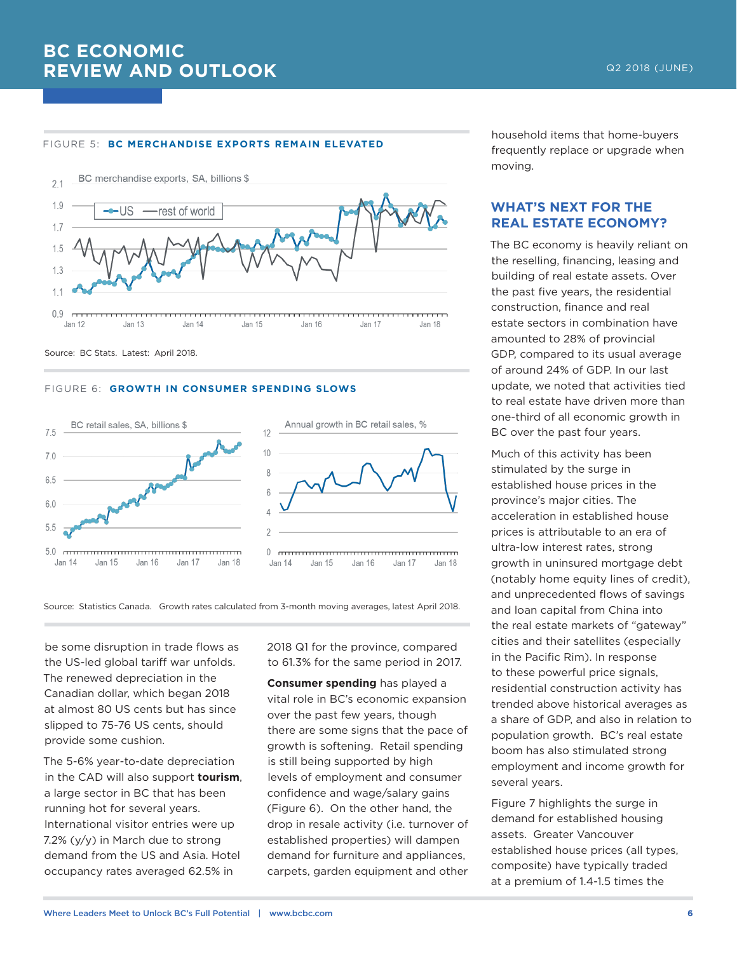#### FIGURE 5: **BC MERCHANDISE EXPORTS REMAIN ELEVATED**



Source: BC Stats. Latest: April 2018.

#### FIGURE 6: **GROWTH IN CONSUMER SPENDING SLOWS**



Source: Statistics Canada. Growth rates calculated from 3-month moving averages, latest April 2018.

be some disruption in trade flows as the US-led global tariff war unfolds. The renewed depreciation in the Canadian dollar, which began 2018 at almost 80 US cents but has since slipped to 75-76 US cents, should provide some cushion.

The 5-6% year-to-date depreciation in the CAD will also support **tourism**, a large sector in BC that has been running hot for several years. International visitor entries were up 7.2% (y/y) in March due to strong demand from the US and Asia. Hotel occupancy rates averaged 62.5% in

2018 Q1 for the province, compared to 61.3% for the same period in 2017.

**Consumer spending** has played a vital role in BC's economic expansion over the past few years, though there are some signs that the pace of growth is softening. Retail spending is still being supported by high levels of employment and consumer confidence and wage/salary gains (Figure 6). On the other hand, the drop in resale activity (i.e. turnover of established properties) will dampen demand for furniture and appliances, carpets, garden equipment and other household items that home-buyers frequently replace or upgrade when moving.

## **WHAT'S NEXT FOR THE REAL ESTATE ECONOMY?**

The BC economy is heavily reliant on the reselling, financing, leasing and building of real estate assets. Over the past five years, the residential construction, finance and real estate sectors in combination have amounted to 28% of provincial GDP, compared to its usual average of around 24% of GDP. In our last update, we noted that activities tied to real estate have driven more than one-third of all economic growth in BC over the past four years.

Much of this activity has been stimulated by the surge in established house prices in the province's major cities. The acceleration in established house prices is attributable to an era of ultra-low interest rates, strong growth in uninsured mortgage debt (notably home equity lines of credit), and unprecedented flows of savings and loan capital from China into the real estate markets of "gateway" cities and their satellites (especially in the Pacific Rim). In response to these powerful price signals, residential construction activity has trended above historical averages as a share of GDP, and also in relation to population growth. BC's real estate boom has also stimulated strong employment and income growth for several years.

Figure 7 highlights the surge in demand for established housing assets. Greater Vancouver established house prices (all types, composite) have typically traded at a premium of 1.4-1.5 times the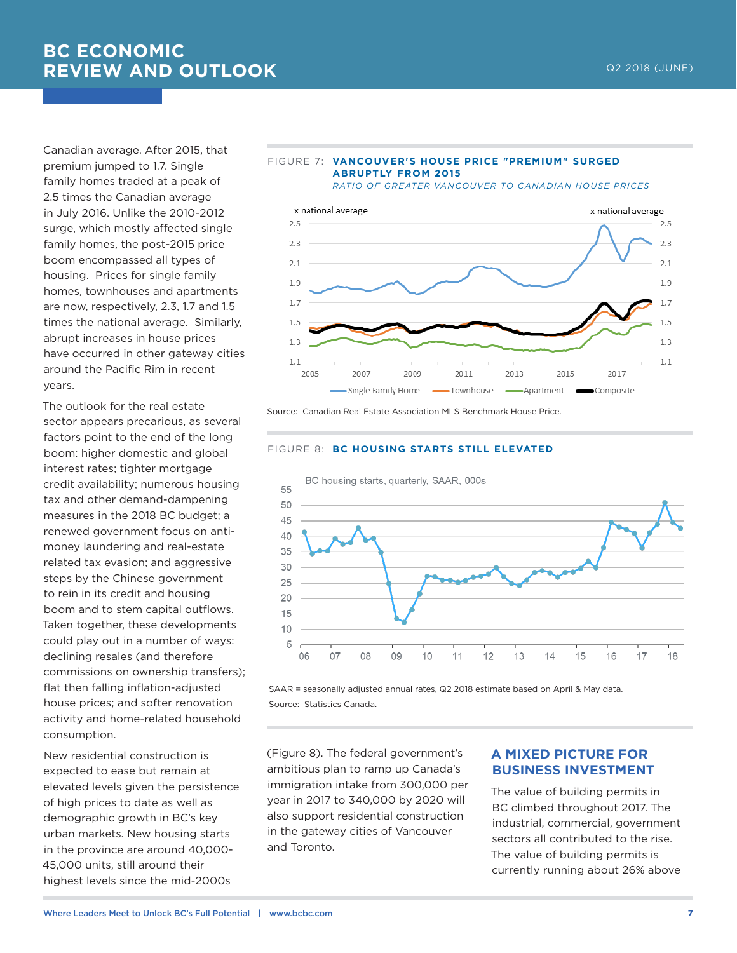# **BC ECONOMIC REVIEW AND OUTLOOK CONSUMING THE CONSUMING ASSESSMENT OF A REVIEW AND OUTLOOK**

Canadian average. After 2015, that premium jumped to 1.7. Single family homes traded at a peak of 2.5 times the Canadian average in July 2016. Unlike the 2010-2012 surge, which mostly affected single family homes, the post-2015 price boom encompassed all types of housing. Prices for single family homes, townhouses and apartments are now, respectively, 2.3, 1.7 and 1.5 times the national average. Similarly, abrupt increases in house prices have occurred in other gateway cities around the Pacific Rim in recent years.

The outlook for the real estate sector appears precarious, as several factors point to the end of the long boom: higher domestic and global interest rates; tighter mortgage credit availability; numerous housing tax and other demand-dampening measures in the 2018 BC budget; a renewed government focus on antimoney laundering and real-estate related tax evasion; and aggressive steps by the Chinese government to rein in its credit and housing boom and to stem capital outflows. Taken together, these developments could play out in a number of ways: declining resales (and therefore commissions on ownership transfers); flat then falling inflation-adjusted house prices; and softer renovation activity and home-related household consumption.

New residential construction is expected to ease but remain at elevated levels given the persistence of high prices to date as well as demographic growth in BC's key urban markets. New housing starts in the province are around 40,000- 45,000 units, still around their highest levels since the mid-2000s



FIGURE 7: **VANCOUVER'S HOUSE PRICE "PREMIUM" SURGED** 



Source: Canadian Real Estate Association MLS Benchmark House Price.

#### FIGURE 8: **BC HOUSING STARTS STILL ELEVATED**



SAAR = seasonally adjusted annual rates, Q2 2018 estimate based on April & May data. Source: Statistics Canada.

(Figure 8). The federal government's ambitious plan to ramp up Canada's immigration intake from 300,000 per year in 2017 to 340,000 by 2020 will also support residential construction in the gateway cities of Vancouver and Toronto.

## **A MIXED PICTURE FOR BUSINESS INVESTMENT**

The value of building permits in BC climbed throughout 2017. The industrial, commercial, government sectors all contributed to the rise. The value of building permits is currently running about 26% above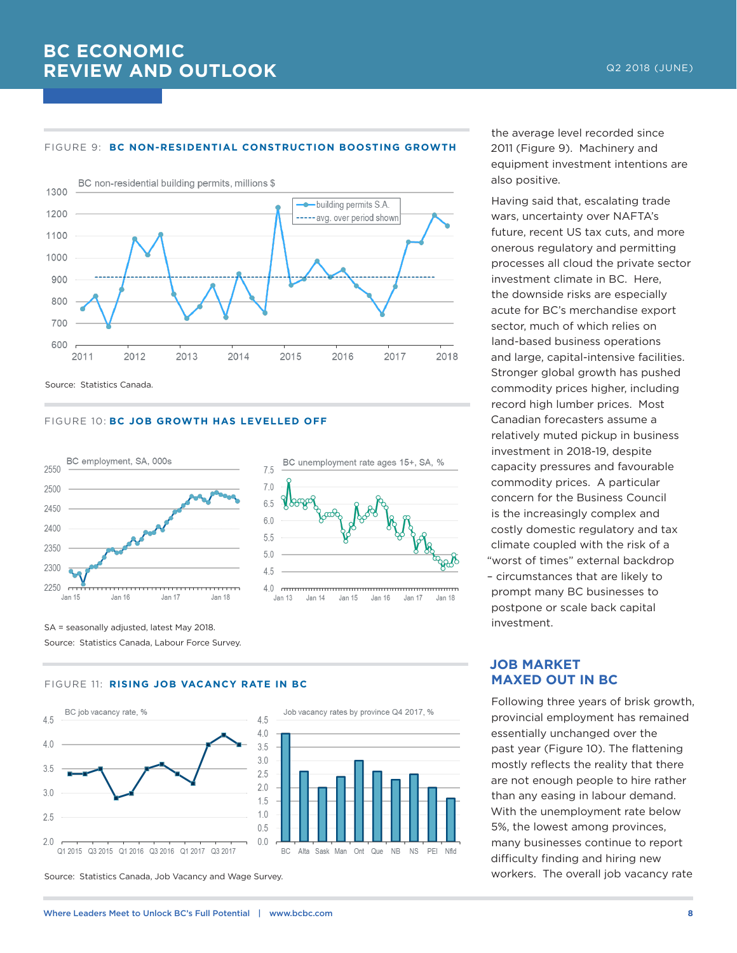#### FIGURE 9: **BC NON-RESIDENTIAL CONSTRUCTION BOOSTING GROWTH**



Source: Statistics Canada.

#### FIGURE 10: **BC JOB GROWTH HAS LEVELLED OFF**



SA = seasonally adjusted, latest May 2018. Source: Statistics Canada, Labour Force Survey.

#### FIGURE 11: **RISING JOB VACANCY RATE IN BC**



Source: Statistics Canada, Job Vacancy and Wage Survey.

the average level recorded since 2011 (Figure 9). Machinery and equipment investment intentions are also positive.

Having said that, escalating trade wars, uncertainty over NAFTA's future, recent US tax cuts, and more onerous regulatory and permitting processes all cloud the private sector investment climate in BC. Here, the downside risks are especially acute for BC's merchandise export sector, much of which relies on land-based business operations and large, capital-intensive facilities. Stronger global growth has pushed commodity prices higher, including record high lumber prices. Most Canadian forecasters assume a relatively muted pickup in business investment in 2018-19, despite capacity pressures and favourable commodity prices. A particular concern for the Business Council is the increasingly complex and costly domestic regulatory and tax climate coupled with the risk of a "worst of times" external backdrop – circumstances that are likely to prompt many BC businesses to postpone or scale back capital investment.

## **JOB MARKET MAXED OUT IN BC**

Jan 17

Jan 18

Following three years of brisk growth, provincial employment has remained essentially unchanged over the past year (Figure 10). The flattening mostly reflects the reality that there are not enough people to hire rather than any easing in labour demand. With the unemployment rate below 5%, the lowest among provinces, many businesses continue to report difficulty finding and hiring new workers. The overall job vacancy rate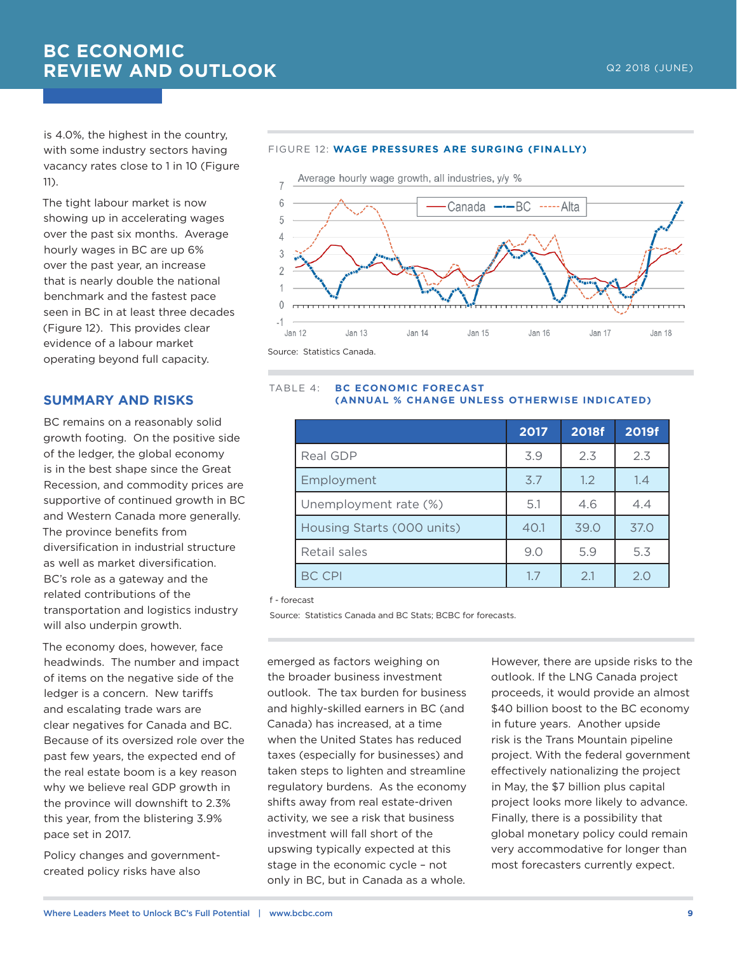is 4.0%, the highest in the country, with some industry sectors having vacancy rates close to 1 in 10 (Figure 11).

The tight labour market is now showing up in accelerating wages over the past six months. Average hourly wages in BC are up 6% over the past year, an increase that is nearly double the national benchmark and the fastest pace seen in BC in at least three decades (Figure 12). This provides clear evidence of a labour market operating beyond full capacity.

## **SUMMARY AND RISKS**

BC remains on a reasonably solid growth footing. On the positive side of the ledger, the global economy is in the best shape since the Great Recession, and commodity prices are supportive of continued growth in BC and Western Canada more generally. The province benefits from diversification in industrial structure as well as market diversification. BC's role as a gateway and the related contributions of the transportation and logistics industry will also underpin growth.

The economy does, however, face headwinds. The number and impact of items on the negative side of the ledger is a concern. New tariffs and escalating trade wars are clear negatives for Canada and BC. Because of its oversized role over the past few years, the expected end of the real estate boom is a key reason why we believe real GDP growth in the province will downshift to 2.3% this year, from the blistering 3.9% pace set in 2017.

Policy changes and governmentcreated policy risks have also





### TABLE 4: **BC ECONOMIC FORECAST (ANNUAL % CHANGE UNLESS OTHERWISE INDICATED)**

|                            | 2017 | <b>2018f</b> | 2019f |
|----------------------------|------|--------------|-------|
| Real GDP                   | 3.9  | 2.3          | 2.3   |
| Employment                 | 3.7  | 1.2          | 1.4   |
| Unemployment rate (%)      | 5.1  | 4.6          | 4.4   |
| Housing Starts (000 units) | 40.1 | 39.0         | 37.0  |
| Retail sales               | 9.0  | 5.9          | 5.3   |
| <b>BC CPI</b>              | 1.7  | 2.1          | 2.0   |

f - forecast

Source: Statistics Canada and BC Stats; BCBC for forecasts.

emerged as factors weighing on the broader business investment outlook. The tax burden for business and highly-skilled earners in BC (and Canada) has increased, at a time when the United States has reduced taxes (especially for businesses) and taken steps to lighten and streamline regulatory burdens. As the economy shifts away from real estate-driven activity, we see a risk that business investment will fall short of the upswing typically expected at this stage in the economic cycle – not only in BC, but in Canada as a whole.

However, there are upside risks to the outlook. If the LNG Canada project proceeds, it would provide an almost \$40 billion boost to the BC economy in future years. Another upside risk is the Trans Mountain pipeline project. With the federal government effectively nationalizing the project in May, the \$7 billion plus capital project looks more likely to advance. Finally, there is a possibility that global monetary policy could remain very accommodative for longer than most forecasters currently expect.